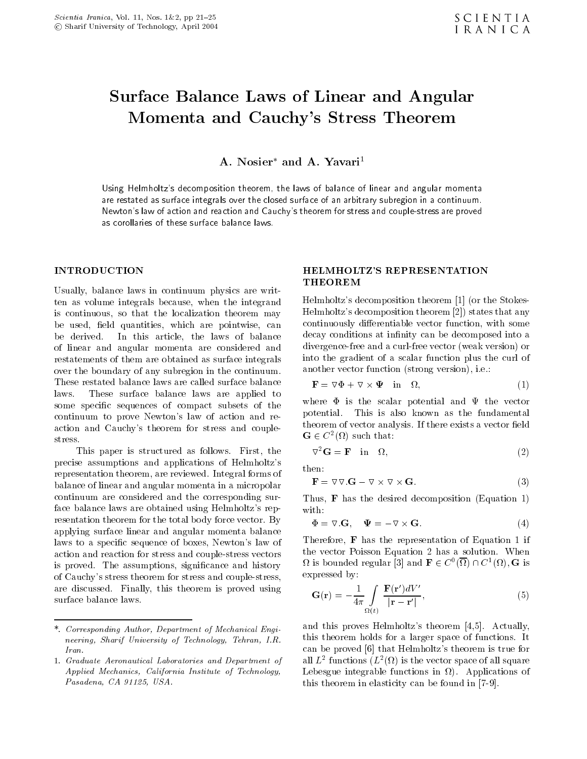# Surface Balance Laws of Linear and Angular Momenta and Cauchy's Stress Theorem

A. Nosier\* and A. Yavari<del>'</del>

Using Helmholtzs decomposition theorem- the laws of balance of linear and angular momenta are restated as surface integrals over the closed surface of an arbitrary subregion in a continuumNewton's law of action and reaction and Cauchy's theorem for stress and couple-stress are proved as corollaries of these surface balance laws

### **INTRODUCTION**

Usually, balance laws in continuum physics are written as volume integrals because, when the integrand is continuous, so that the localization theorem may be used, field quantities, which are pointwise, can be derived. In this article, the laws of balance of linear and angular momenta are considered and restatements of them are obtained as surface integrals over the boundary of any subregion in the continuum These restated balance laws are called surface balance laws. These surface balance laws are applied to some specific sequences of compact subsets of the continuum to prove Newton's law of action and reaction and Cauchy's theorem for stress and couple-

This paper is structured as follows. First, the precise assumptions and applications of Helmholtz's then: representation theorem, are reviewed. Integral forms of balance of linear and angular momenta in a micropolar continuum are considered and the corresponding surface balance laws are obtained using Helmholtz's representation theorem for the total body force vector. By applying surface linear and angular momenta balance laws to a specific sequence of boxes, Newton's law of action and reaction for stress and couple-stress and coupleis proved. The assumptions, significance and history of Cauchys stress theorem for stress and couple-stress are discussed. Finally, this theorem is proved using surface balance laws.

## **HELMHOLTZ'S REPRESENTATION THEOREM**

Helmholtz's decomposition theorem  $\lceil 1 \rceil$  (or the Stokes-Helmholtzs decomposition theorem states that any continuously differentiable vector function, with some decay conditions at infinity can be decomposed into a divergence-free and a curl-free vector weak version or into the gradient of a scalar function plus the curl of another vector function  $(\text{strong version})$ , i.e.:

$$
\mathbf{F} = \nabla \Phi + \nabla \times \mathbf{\Psi} \quad \text{in} \quad \Omega,
$$
 (1)

 $\mathbf{G} \in C^2(\Omega)$  such that: where  $\Phi$  is the scalar potential and  $\Psi$  the vector potential This is also known as the fundamental theorem of vector analysis If there exists a vector eld

$$
\nabla^2 \mathbf{G} = \mathbf{F} \quad \text{in} \quad \Omega,\tag{2}
$$

$$
\mathbf{F} = \nabla \nabla . \mathbf{G} - \nabla \times \nabla \times \mathbf{G}.
$$
 (3)

 $\text{True}$   $\text{True}$  and desired decomposition  $\text{True}$ with, the contract of the contract of the contract of the contract of the contract of the contract of the contract of the contract of the contract of the contract of the contract of the contract of the contract of the cont

$$
\Phi = \nabla. \mathbf{G}, \quad \Psi = -\nabla \times \mathbf{G}.
$$
 (4)

Therefore,  $\bf{F}$  has the representation of Equation 1 if the vector  $P$  of  $\mathcal{P}$  and  $\mathcal{P}$  are a solution  $\mathcal{P}$  . The vector  $\mathcal{P}$  $\Omega$  is bounded regular [3] and  $\mathbf{F} \in C^0(\Omega) \cap C^1(\Omega)$ , G is expressed by

$$
\mathbf{G}(\mathbf{r}) = -\frac{1}{4\pi} \int\limits_{\Omega(t)} \frac{\mathbf{F}(\mathbf{r}')dV'}{|\mathbf{r} - \mathbf{r}'|},\tag{5}
$$

and this proves Helmholtz's theorem  $[4,5]$ . Actually, this theorem holds for a larger space of functions  $\mathbf{f}(\mathbf{A})$  and  $\mathbf{f}(\mathbf{A})$  are space of functions It in can be proved [6] that Helmholtz's theorem is true for all  $L^-$  functions  $(L^-(\mathcal{U})$  is the vector space of all square Lebesgue integrable functions in  $\Omega$ ). Applications of this theorem in elasticity can be found in -

<sup>-</sup> Corresponding Author Department of Mechanical Engineering, Sharif University of Technology, Tehran, I.R.

<sup>-</sup> Graduate Aeronautical Laboratories and Department of Applied Mechanics, California Institute of Technology, Pasadena, CA 91125, USA.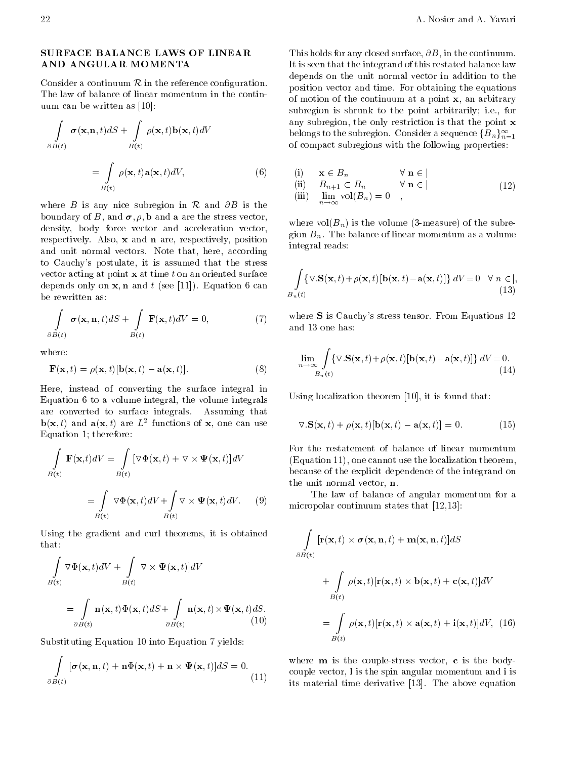## SURFACE BALANCE LAWS OF LINEAR AND ANGULAR MOMENTA

Consider a continuum  $\mathcal R$  in the reference configuration. The law of balance of linear momentum in the continuum can be written as [10]:

$$
\int_{\partial B(t)} \sigma(\mathbf{x}, \mathbf{n}, t) dS + \int_{B(t)} \rho(\mathbf{x}, t) \mathbf{b}(\mathbf{x}, t) dV
$$
\n
$$
= \int_{B(t)} \rho(\mathbf{x}, t) \mathbf{a}(\mathbf{x}, t) dV,
$$
\n(6)

where B is any nice subregion in R and  $\partial B$  is the boundary of B, and  $\sigma$ ,  $\rho$ , b and a are the stress vector, density, body force vector and acceleration vector, respectively. Also,  $x$  and  $n$  are, respectively, position and unit normal vectors. Note that, here, according to Cauchy's postulate, it is assumed that the stress vector acting at point  $x$  at time  $t$  on an oriented surface depends only on  $x, n$  and t (see [11]). Equation 6 can be rewritten as

$$
\int_{\partial B(t)} \boldsymbol{\sigma}(\mathbf{x}, \mathbf{n}, t) dS + \int_{B(t)} \mathbf{F}(\mathbf{x}, t) dV = 0,
$$
\n(7)

where:

$$
\mathbf{F}(\mathbf{x},t) = \rho(\mathbf{x},t)[\mathbf{b}(\mathbf{x},t) - \mathbf{a}(\mathbf{x},t)].
$$
 (8)

Here, instead of converting the surface integral in Equation  $6$  to a volume integral, the volume integrals are converted to surface integrals Assuming that  $\mathbf{D}(\mathbf{X}, t)$  and  $\mathbf{a}(\mathbf{X}, t)$  are  $L^-$  functions of  $\mathbf{X}$ , one can use Equation 1; therefore:

$$
\int_{B(t)} \mathbf{F}(\mathbf{x},t) dV = \int_{B(t)} [\nabla \Phi(\mathbf{x},t) + \nabla \times \Psi(\mathbf{x},t)] dV
$$

$$
= \int_{B(t)} \nabla \Phi(\mathbf{x},t) dV + \int_{B(t)} \nabla \times \Psi(\mathbf{x},t) dV. \tag{9}
$$

Using the gradient and curl theorems, it is obtained that:

$$
\int_{B(t)} \nabla \Phi(\mathbf{x}, t) dV + \int_{B(t)} \nabla \times \Psi(\mathbf{x}, t) dV
$$
\n
$$
= \int_{\partial B(t)} \mathbf{n}(\mathbf{x}, t) \Phi(\mathbf{x}, t) dS + \int_{\partial B(t)} \mathbf{n}(\mathbf{x}, t) \times \Psi(\mathbf{x}, t) dS.
$$
\n(10)

Substituting Equation 10 into Equation 7 yields:

<sup>Z</sup>

$$
\int_{\partial B(t)} [\boldsymbol{\sigma}(\mathbf{x}, \mathbf{n}, t) + \mathbf{n} \Phi(\mathbf{x}, t) + \mathbf{n} \times \Psi(\mathbf{x}, t)] dS = 0.
$$
\n(11)

of motion of the continuum at a point  ${\bf x},$  an arbitrary This holds for any closed surface,  $\partial B$ , in the continuum. It is seen that the integrand of this restated balance law depends on the unit normal vector in addition to the position vector and time. For obtaining the equations subregion is shrunk to the point arbitrarily; i.e., for any subregion, the only restriction is that the point  $x$ belongs to the subregion. Consider a sequence  ${B_n}_{n=1}^{\infty}$ of compact subregions with the following properties

(i) 
$$
\mathbf{x} \in B_n
$$
  $\forall \mathbf{n} \in$   
\n(ii)  $B_{n+1} \subset B_n$   $\forall \mathbf{n} \in$   
\n(iii)  $\lim_{n \to \infty} \text{vol}(B_n) = 0$ , (12)

where  $\alpha$  is the volume  $\alpha$  is the subset of the subset of the subset of the subset of the subset of the subset of the subset of the subset of the subset of the subset of the subset of the subset of the subset of the su gion  $B_n$ . The balance of linear momentum as a volume integral reads

$$
\int_{B_n(t)} \{ \nabla. \mathbf{S}(\mathbf{x}, t) + \rho(\mathbf{x}, t) [\mathbf{b}(\mathbf{x}, t) - \mathbf{a}(\mathbf{x}, t)] \} dV = 0 \quad \forall n \in \mathcal{b},
$$
\n(13)

where  $S$  is Cauchy's stress tensor. From Equations 12 and 13 one has:

$$
\lim_{n \to \infty} \int_{B_n(t)} \{ \nabla \cdot \mathbf{S}(\mathbf{x}, t) + \rho(\mathbf{x}, t) [\mathbf{b}(\mathbf{x}, t) - \mathbf{a}(\mathbf{x}, t)] \} dV = 0.
$$
\n(14)

Using localization theorem  $[10]$ , it is found that:

$$
\nabla \cdot \mathbf{S}(\mathbf{x},t) + \rho(\mathbf{x},t)[\mathbf{b}(\mathbf{x},t) - \mathbf{a}(\mathbf{x},t)] = 0.
$$
 (15)

For the restatement of balance of linear momentum  $(Equation 11)$ , one cannot use the localization theorem, because of the explicit dependence of the integrand on the unit normal vector,  $n$ .

 $\sim$  micropolar continuum states that  $(12,13)$ : The law of balance of angular momentum for a

$$
\int\limits_{\partial B(t)} [\mathbf{r}(\mathbf{x},t) \times \boldsymbol{\sigma}(\mathbf{x},\mathbf{n},t) + \mathbf{m}(\mathbf{x},\mathbf{n},t)]dS
$$

<sup>Z</sup>

+ 
$$
\int_{B(t)} \rho(\mathbf{x},t) [\mathbf{r}(\mathbf{x},t) \times \mathbf{b}(\mathbf{x},t) + \mathbf{c}(\mathbf{x},t)]dV
$$
  
= 
$$
\int_{B(t)} \rho(\mathbf{x},t) [\mathbf{r}(\mathbf{x},t) \times \mathbf{a}(\mathbf{x},t) + \mathbf{i}(\mathbf{x},t)]dV, (16)
$$

 $\zeta$  its material time derivative  $|13|$ . The above equation where m is the couple-term is the couple-term is the body-term is the body-term is the body-term is the body-t couple vector,  $l$  is the spin angular momentum and  $i$  is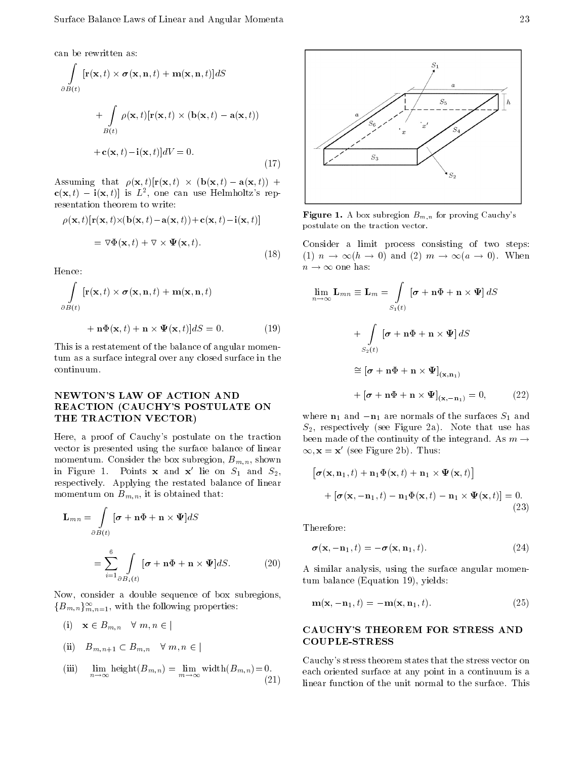can be rewritten as

$$
\int_{\partial B(t)} [\mathbf{r}(\mathbf{x},t) \times \boldsymbol{\sigma}(\mathbf{x}, \mathbf{n},t) + \mathbf{m}(\mathbf{x}, \mathbf{n},t)]dS
$$
  
+ 
$$
\int_{B(t)} \rho(\mathbf{x},t) [\mathbf{r}(\mathbf{x},t) \times (\mathbf{b}(\mathbf{x},t) - \mathbf{a}(\mathbf{x},t))
$$
  
+ 
$$
\mathbf{c}(\mathbf{x},t) - \mathbf{i}(\mathbf{x},t)]dV = 0.
$$
 (17)

Assuming that  $\rho(\mathbf{x}, t)$   $[\mathbf{r}(\mathbf{x}, t) \times (\mathbf{b}(\mathbf{x}, t) - \mathbf{a}(\mathbf{x}, t)) +$  $c(x, t) = f(x, t)$  is L, one can use Helmholtz's representation theorem to write

$$
\rho(\mathbf{x},t)[\mathbf{r}(\mathbf{x},t)\times(\mathbf{b}(\mathbf{x},t)-\mathbf{a}(\mathbf{x},t))+\mathbf{c}(\mathbf{x},t)-\mathbf{i}(\mathbf{x},t)]
$$

$$
=\nabla\Phi(\mathbf{x},t)+\nabla\times\Psi(\mathbf{x},t). \tag{18}
$$

Hence:

<sup>Z</sup>

$$
\int_{\partial B(t)} [\mathbf{r}(\mathbf{x},t) \times \boldsymbol{\sigma}(\mathbf{x},\mathbf{n},t) + \mathbf{m}(\mathbf{x},\mathbf{n},t)]
$$

$$
+\mathbf{n}\Phi(\mathbf{x},t)+\mathbf{n}\times\Psi(\mathbf{x},t)]dS=0.
$$
 (19)

This is a restatement of the balance of angular momentum as a surface integral over any closed surface in the continuum

# NEWTON'S LAW OF ACTION AND REACTION CAUCHYS POSTULATE ON THE TRACTION VECTOR

Here, a proof of Cauchy's postulate on the traction vector is presented using the surface balance of linear momentum Consider the box substitute  $\alpha$  substitute  $\alpha$ in Figure 1. Points **x** and **x'** lie on  $S_1$  and  $S_2$ , respectively. Applying the restated balance of linear momentum on Bm-n it is obtained that

$$
\mathbf{L}_{mn} = \int_{\partial B(t)} [\boldsymbol{\sigma} + \mathbf{n} \Phi + \mathbf{n} \times \Psi] dS
$$

$$
= \sum_{i=1}^{6} \int_{\partial B_i(t)} [\boldsymbol{\sigma} + \mathbf{n} \Phi + \mathbf{n} \times \Psi] dS. \tag{20}
$$

Now, consider a double sequence of box subregions,  $\{B_{m,n}\}_{m,n=1}^\infty,$  with the following properties:

(i) 
$$
\mathbf{x} \in B_{m,n} \quad \forall \ m, n \in \mathcal{B}
$$
  
\n(ii)  $B_{m,n+1} \subset B_{m,n} \quad \forall \ m, n \in \mathcal{B}$   
\n(iii)  $\lim_{n \to \infty} \text{height}(B_{m,n}) = \lim_{m \to \infty} \text{width}(B_{m,n}) = 0.$   
\n(2)



**Figure 1.** A box subregion  $D_{m,n}$  for proving Cauchy s postulate on the traction vector-

 $(10)$  (1)  $n \to \infty$   $(n \to 0)$  and  $(2)$   $m \to \infty$   $(a \to 0)$ . When Consider a limit process consisting of two steps:  $n \to \infty$  one has:

$$
\lim_{n \to \infty} \mathbf{L}_{mn} \equiv \mathbf{L}_m = \int_{S_1(t)} [\boldsymbol{\sigma} + \mathbf{n} \Phi + \mathbf{n} \times \boldsymbol{\Psi}] dS
$$
  
+ 
$$
\int_{S_2(t)} [\boldsymbol{\sigma} + \mathbf{n} \Phi + \mathbf{n} \times \boldsymbol{\Psi}] dS
$$
  

$$
\cong [\boldsymbol{\sigma} + \mathbf{n} \Phi + \mathbf{n} \times \boldsymbol{\Psi}]_{(\mathbf{x}, \mathbf{n}_1)}
$$
  
+ 
$$
[\boldsymbol{\sigma} + \mathbf{n} \Phi + \mathbf{n} \times \boldsymbol{\Psi}]_{(\mathbf{x}, -\mathbf{n}_1)} = 0,
$$
 (22)

where  $n_1$  and  $-n_1$  are normals of the surfaces  $S_1$  and  $\mathcal{L}$  respectively. When Figure High section is that use  $\mathcal{L}$ been made of the continuity of the integrand. As  $m \rightarrow$  $\infty$ ,  ${\bf x} = {\bf x}$  (see Figure 2b). Thus:

$$
[\boldsymbol{\sigma}(\mathbf{x}, \mathbf{n}_1, t) + \mathbf{n}_1 \Phi(\mathbf{x}, t) + \mathbf{n}_1 \times \boldsymbol{\Psi}(\mathbf{x}, t)]
$$
  
+ 
$$
[\boldsymbol{\sigma}(\mathbf{x}, -\mathbf{n}_1, t) - \mathbf{n}_1 \Phi(\mathbf{x}, t) - \mathbf{n}_1 \times \boldsymbol{\Psi}(\mathbf{x}, t)] = 0.
$$
(23)

Therefore

$$
\boldsymbol{\sigma}(\mathbf{x}, -\mathbf{n}_1, t) = -\boldsymbol{\sigma}(\mathbf{x}, \mathbf{n}_1, t). \tag{24}
$$

<sup>7</sup> A similar analysis, using the surface angular momen $tum balance (Equation 19), yields:$ 

$$
\mathbf{m}(\mathbf{x}, -\mathbf{n}_1, t) = -\mathbf{m}(\mathbf{x}, \mathbf{n}_1, t). \tag{25}
$$

## CAUCHYS THEOREM FOR STRESS AND COUPLE-STRESS

 $\sqrt{2}$ Cauchy's stress theorem states that the stress vector on each oriented surface at any point in a continuum is a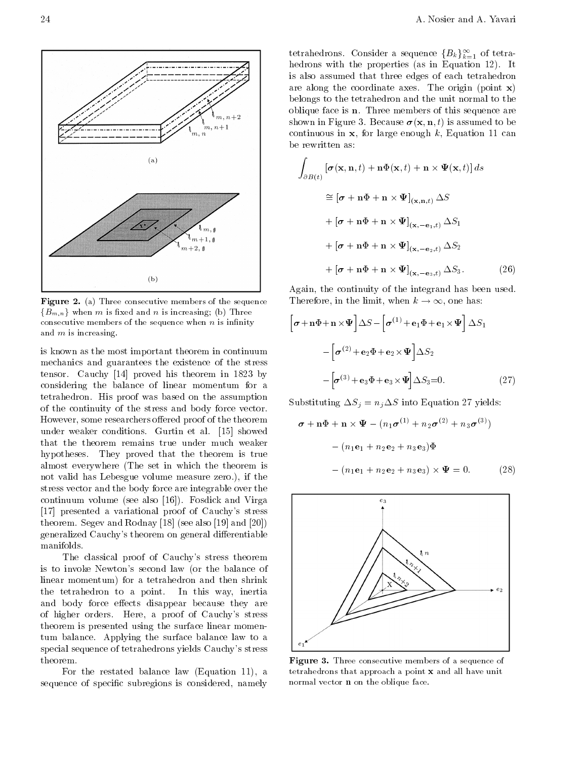

 $(b)$ 

 $(a)$ 

 $m, n+1$ 

 $\mathbf{1}_{m,\, \mathbf{g}}$  $\mathcal{N}_m+1, \mathbf{0}$  $m+2, \, \mathbf{0}$ 

is known as the most important theorem in continuum mechanics and guarantees the existence of the stress tensor  $\mathcal{C}$  and the original his theorem in  $\mathcal{C}$  and the original his theorem in  $\mathcal{C}$ considering the balance of linear momentum for a tetrahedron. His proof was based on the assumption of the continuity of the stress and body force vector However, some researchers offered proof of the theorem under weaker conditions. Gurtin et al. [15] showed that the theorem remains true under much weaker hypotheses. They proved that the theorem is true almost everywhere (The set in which the theorem is not valid has Lebesgue volume measure zero.), if the stress vector and the body force are integrable over the continuum volume (see also  $[16]$ ). Fosdick and Virga [17] presented a variational proof of Cauchy's stress theorem Segev and Rodnay (See also and See also and  $\sim$ generalized Cauchy's theorem on general differentiable manifolds

The classical proof of Cauchy's stress theorem is to invoke Newton's second law (or the balance of linear momentum) for a tetrahedron and then shrink the tetrahedron to a point. In this way, inertia and body force effects disappear because they are of higher orders. Here, a proof of Cauchy's stress theorem is presented using the surface linear momentum balance Applying the surface balance law to a special sequence of tetrahedrons yields Cauchy's stress theorem

For the restated balance law  $(Equation 11)$ , a sequence of specific subregions is considered, namely

tetrahedrons. Consider a sequence  $\{B_k\}_{k=1}^\infty$  of tetrahedrons with the properties as in Equation It is also assumed that three edges of each tetrahedron are along the coordinate axes. The origin (point  $\mathbf{x}$ ) belongs to the tetrahedron and the unit normal to the oblique face is  $n$ . Three members of this sequence are shown in Figure 3. Because  $\sigma(\mathbf{x}, \mathbf{n}, t)$  is assumed to be continuous in  $x$ , for large enough k, Equation 11 can be rewritten as

<sup>Z</sup>

$$
\int_{\partial B(t)} \left[ \sigma(\mathbf{x}, \mathbf{n}, t) + \mathbf{n} \Phi(\mathbf{x}, t) + \mathbf{n} \times \Psi(\mathbf{x}, t) \right] ds
$$
\n
$$
\approx \left[ \sigma + \mathbf{n} \Phi + \mathbf{n} \times \Psi \right]_{(\mathbf{x}, \mathbf{n}, t)} \Delta S
$$
\n
$$
+ \left[ \sigma + \mathbf{n} \Phi + \mathbf{n} \times \Psi \right]_{(\mathbf{x}, -\mathbf{e}_1, t)} \Delta S_1
$$
\n
$$
+ \left[ \sigma + \mathbf{n} \Phi + \mathbf{n} \times \Psi \right]_{(\mathbf{x}, -\mathbf{e}_2, t)} \Delta S_2
$$
\n
$$
+ \left[ \sigma + \mathbf{n} \Phi + \mathbf{n} \times \Psi \right]_{(\mathbf{x}, -\mathbf{e}_3, t)} \Delta S_3. \tag{26}
$$

Again, the continuity of the integrand has been used. Therefore, in the limit, when  $k \to \infty$ , one has:

$$
\left[\boldsymbol{\sigma} + \mathbf{n}\Phi + \mathbf{n}\times\Psi\right]\Delta S - \left[\boldsymbol{\sigma}^{(1)} + \mathbf{e}_1\Phi + \mathbf{e}_1\times\Psi\right]\Delta S_1
$$

$$
-\left[\boldsymbol{\sigma}^{(2)} + \mathbf{e}_2\Phi + \mathbf{e}_2\times\Psi\right]\Delta S_2
$$

$$
-\left[\boldsymbol{\sigma}^{(3)} + \mathbf{e}_3\Phi + \mathbf{e}_3\times\Psi\right]\Delta S_3 = 0. \tag{27}
$$

Substituting System in the Equation of System in the Equation of System in the Equation of System in the Equation of System in the Equation of System in the Equation of System in the Equation of System in the Equation of S

$$
\boldsymbol{\sigma} + \mathbf{n}\Phi + \mathbf{n} \times \boldsymbol{\Psi} - (n_1 \boldsymbol{\sigma}^{(1)} + n_2 \boldsymbol{\sigma}^{(2)} + n_3 \boldsymbol{\sigma}^{(3)})
$$

$$
- (n_1 \mathbf{e}_1 + n_2 \mathbf{e}_2 + n_3 \mathbf{e}_3) \Phi
$$

$$
- (n_1 \mathbf{e}_1 + n_2 \mathbf{e}_2 + n_3 \mathbf{e}_3) \times \boldsymbol{\Psi} = 0. \qquad (28)
$$



**Figure 5.** Three consecutive members of a sequence of tetrahedrons that approach a point <sup>x</sup> and all have unit normal vector **n** on the oblique face.